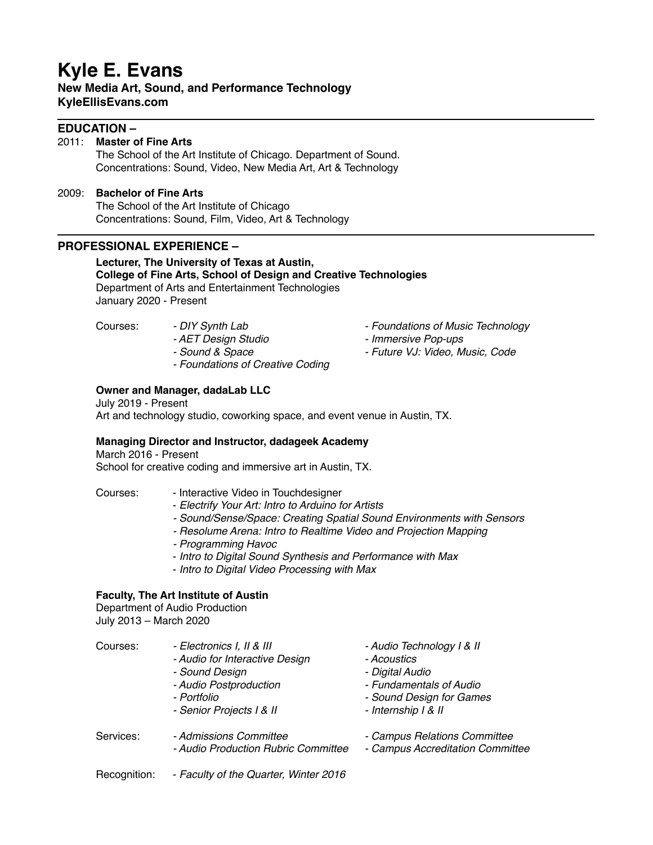# **Kyle E. Evans**

**New Media Art, Sound, and Performance Technology KyleEllisEvans.com**

## **EDUCATION –**

#### 2011: **Master of Fine Arts**

The School of the Art Institute of Chicago. Department of Sound. Concentrations: Sound, Video, New Media Art, Art & Technology

## 2009: **Bachelor of Fine Arts**

The School of the Art Institute of Chicago Concentrations: Sound, Film, Video, Art & Technology

## **PROFESSIONAL EXPERIENCE –**

**Lecturer, The University of Texas at Austin, College of Fine Arts, School of Design and Creative Technologies** Department of Arts and Entertainment Technologies January 2020 - Present

- 
- 
- 
- *Foundations of Creative Coding*
- Courses:  *DIY Synth Lab Foundations of Music Technology*
	- *AET Design Studio Immersive Pop-ups*
	- *Sound & Space Future VJ: Video, Music, Code*

#### **Owner and Manager, dadaLab LLC**

July 2019 - Present Art and technology studio, coworking space, and event venue in Austin, TX.

#### **Managing Director and Instructor, dadageek Academy**

March 2016 - Present School for creative coding and immersive art in Austin, TX.

Courses: - Interactive Video in Touchdesigner

- *Electrify Your Art: Intro to Arduino for Artists*
- *Sound/Sense/Space: Creating Spatial Sound Environments with Sensors*
- *Resolume Arena: Intro to Realtime Video and Projection Mapping*
- *Programming Havoc*
- *Intro to Digital Sound Synthesis and Performance with Max*
- *Intro to Digital Video Processing with Max*

#### **Faculty, The Art Institute of Austin**

Department of Audio Production July 2013 – March 2020

| Courses:     | - Electronics I, II & III<br>- Audio for Interactive Design<br>- Sound Design<br>- Audio Postproduction<br>- Portfolio<br>- Senior Projects I & II | - Audio Technology   & II<br>- Acoustics<br>- Digital Audio<br>- Fundamentals of Audio<br>- Sound Design for Games<br>- Internship I & II |
|--------------|----------------------------------------------------------------------------------------------------------------------------------------------------|-------------------------------------------------------------------------------------------------------------------------------------------|
| Services:    | - Admissions Committee<br>- Audio Production Rubric Committee                                                                                      | - Campus Relations Committee<br>- Campus Accreditation Committee                                                                          |
| Recognition: | - Faculty of the Quarter, Winter 2016                                                                                                              |                                                                                                                                           |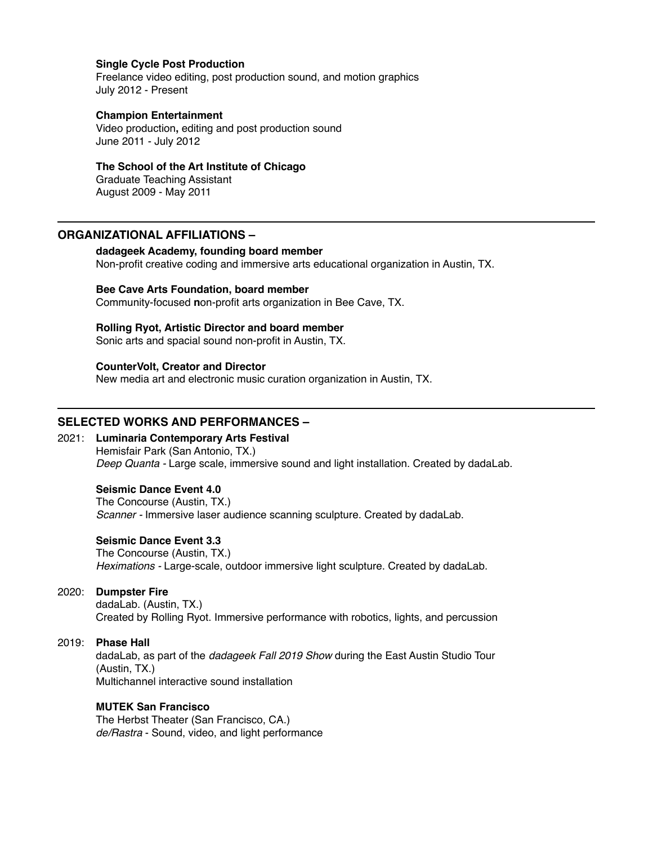#### **Single Cycle Post Production**

Freelance video editing, post production sound, and motion graphics July 2012 - Present

#### **Champion Entertainment**

Video production**,** editing and post production sound June 2011 - July 2012

#### **The School of the Art Institute of Chicago**

Graduate Teaching Assistant August 2009 - May 2011

## **ORGANIZATIONAL AFFILIATIONS –**

#### **dadageek Academy, founding board member**

Non-profit creative coding and immersive arts educational organization in Austin, TX.

#### **Bee Cave Arts Foundation, board member**

Community-focused **n**on-profit arts organization in Bee Cave, TX.

#### **Rolling Ryot, Artistic Director and board member**

Sonic arts and spacial sound non-profit in Austin, TX.

#### **CounterVolt, Creator and Director**

New media art and electronic music curation organization in Austin, TX.

## **SELECTED WORKS AND PERFORMANCES –**

#### 2021: **Luminaria Contemporary Arts Festival** Hemisfair Park (San Antonio, TX.) *Deep Quanta -* Large scale, immersive sound and light installation. Created by dadaLab.

#### **Seismic Dance Event 4.0**

The Concourse (Austin, TX.) *Scanner -* Immersive laser audience scanning sculpture. Created by dadaLab.

#### **Seismic Dance Event 3.3**

The Concourse (Austin, TX.) *Heximations -* Large-scale, outdoor immersive light sculpture. Created by dadaLab.

#### 2020: **Dumpster Fire**

dadaLab. (Austin, TX.) Created by Rolling Ryot. Immersive performance with robotics, lights, and percussion

#### 2019: **Phase Hall**

dadaLab, as part of the *dadageek Fall 2019 Show* during the East Austin Studio Tour (Austin, TX.) Multichannel interactive sound installation

#### **MUTEK San Francisco**

The Herbst Theater (San Francisco, CA.) *de/Rastra* - Sound, video, and light performance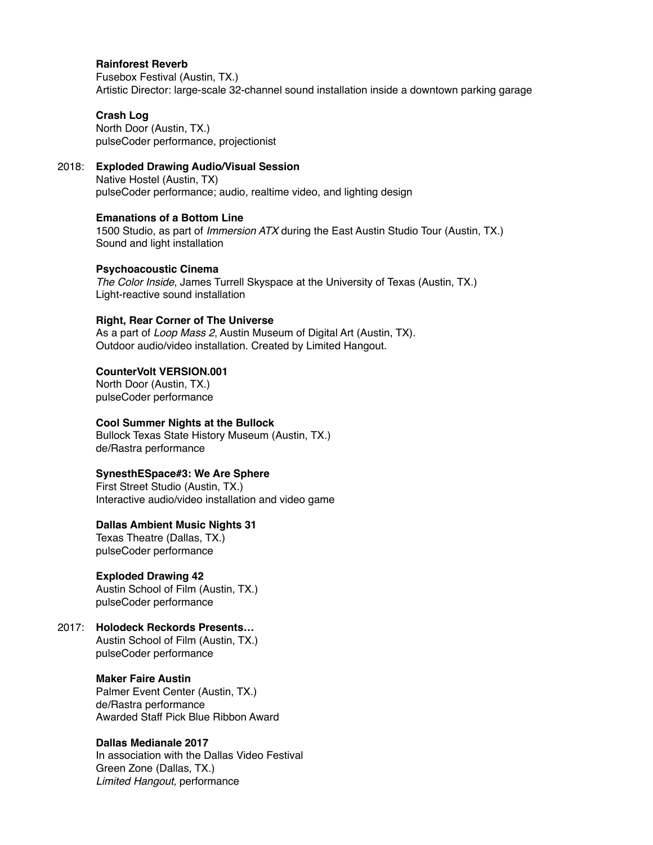#### **Rainforest Reverb**

Fusebox Festival (Austin, TX.) Artistic Director: large-scale 32-channel sound installation inside a downtown parking garage

#### **Crash Log**

North Door (Austin, TX.) pulseCoder performance, projectionist

#### 2018: **Exploded Drawing Audio/Visual Session**

Native Hostel (Austin, TX) pulseCoder performance; audio, realtime video, and lighting design

#### **Emanations of a Bottom Line**

1500 Studio, as part of *Immersion ATX* during the East Austin Studio Tour (Austin, TX.) Sound and light installation

#### **Psychoacoustic Cinema**

*The Color Inside*, James Turrell Skyspace at the University of Texas (Austin, TX.) Light-reactive sound installation

#### **Right, Rear Corner of The Universe**

As a part of *Loop Mass 2*, Austin Museum of Digital Art (Austin, TX). Outdoor audio/video installation. Created by Limited Hangout.

## **CounterVolt VERSION.001**

North Door (Austin, TX.) pulseCoder performance

#### **Cool Summer Nights at the Bullock**

Bullock Texas State History Museum (Austin, TX.) de/Rastra performance

#### **SynesthESpace#3: We Are Sphere**

First Street Studio (Austin, TX.) Interactive audio/video installation and video game

#### **Dallas Ambient Music Nights 31**

Texas Theatre (Dallas, TX.) pulseCoder performance

#### **Exploded Drawing 42**

Austin School of Film (Austin, TX.) pulseCoder performance

## 2017: **Holodeck Reckords Presents…**

Austin School of Film (Austin, TX.) pulseCoder performance

#### **Maker Faire Austin**

Palmer Event Center (Austin, TX.) de/Rastra performance Awarded Staff Pick Blue Ribbon Award

#### **Dallas Medianale 2017**

In association with the Dallas Video Festival Green Zone (Dallas, TX.) *Limited Hangout,* performance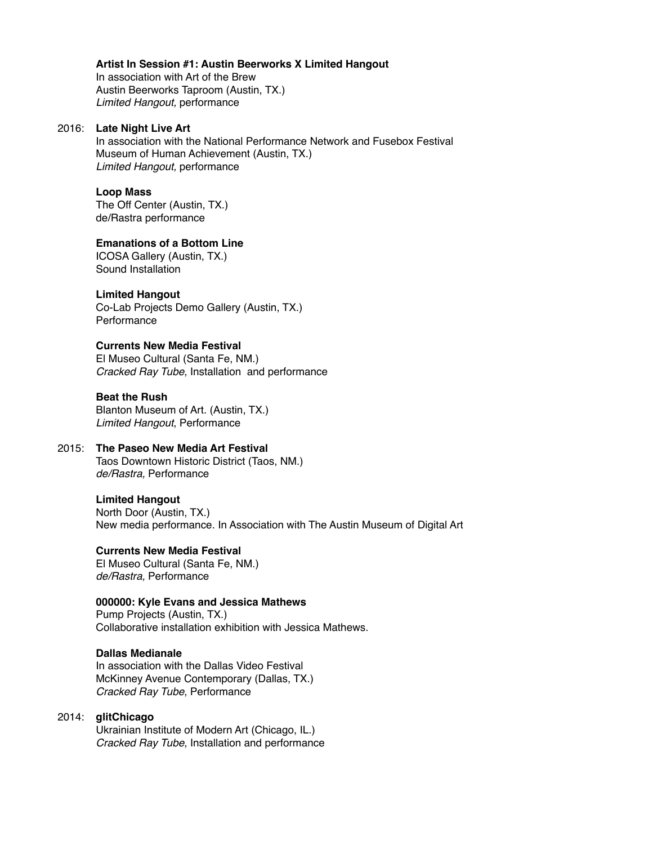#### **Artist In Session #1: Austin Beerworks X Limited Hangout**

In association with Art of the Brew Austin Beerworks Taproom (Austin, TX.) *Limited Hangout,* performance

#### 2016: **Late Night Live Art**

In association with the National Performance Network and Fusebox Festival Museum of Human Achievement (Austin, TX.) *Limited Hangout,* performance

#### **Loop Mass**

The Off Center (Austin, TX.) de/Rastra performance

#### **Emanations of a Bottom Line**

ICOSA Gallery (Austin, TX.) Sound Installation

#### **Limited Hangout**

Co-Lab Projects Demo Gallery (Austin, TX.) **Performance** 

## **Currents New Media Festival**

El Museo Cultural (Santa Fe, NM.) *Cracked Ray Tube*, Installation and performance

#### **Beat the Rush**

Blanton Museum of Art. (Austin, TX.) *Limited Hangout*, Performance

## 2015: **The Paseo New Media Art Festival**

Taos Downtown Historic District (Taos, NM.) *de/Rastra,* Performance

#### **Limited Hangout**

North Door (Austin, TX.) New media performance. In Association with The Austin Museum of Digital Art

#### **Currents New Media Festival**

El Museo Cultural (Santa Fe, NM.) *de/Rastra,* Performance

#### **000000: Kyle Evans and Jessica Mathews**

Pump Projects (Austin, TX.) Collaborative installation exhibition with Jessica Mathews.

#### **Dallas Medianale**

In association with the Dallas Video Festival McKinney Avenue Contemporary (Dallas, TX.) *Cracked Ray Tube*, Performance

#### 2014: **glitChicago**

Ukrainian Institute of Modern Art (Chicago, IL.) *Cracked Ray Tube*, Installation and performance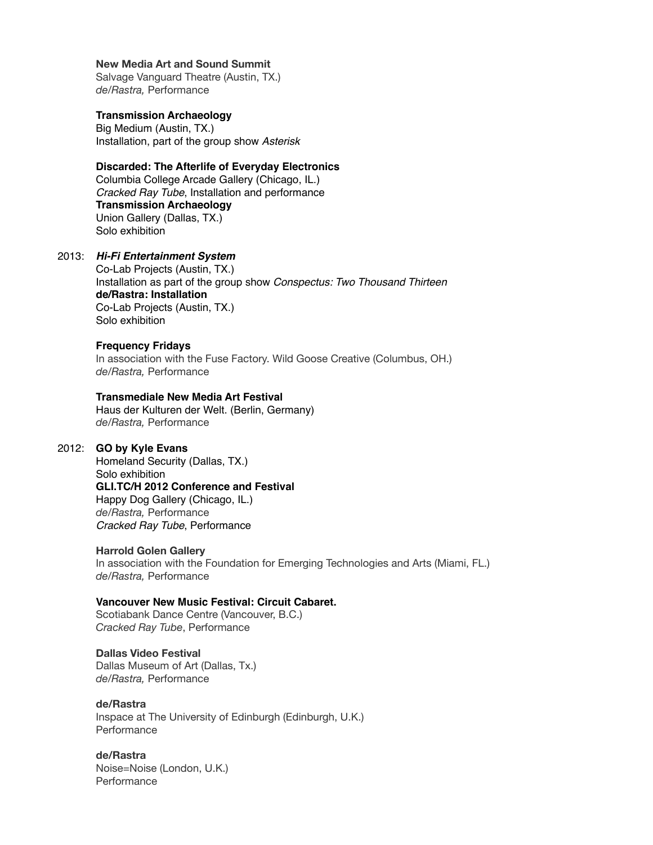#### **New Media Art and Sound Summit**

Salvage Vanguard Theatre (Austin, TX.) *de/Rastra,* Performance

#### **Transmission Archaeology**

Big Medium (Austin, TX.) Installation, part of the group show *Asterisk*

#### **Discarded: The Afterlife of Everyday Electronics**

Columbia College Arcade Gallery (Chicago, IL.) *Cracked Ray Tube*, Installation and performance **Transmission Archaeology**  Union Gallery (Dallas, TX.) Solo exhibition

#### 2013: *Hi-Fi Entertainment System*

Co-Lab Projects (Austin, TX.) Installation as part of the group show *Conspectus: Two Thousand Thirteen* **de/Rastra: Installation** Co-Lab Projects (Austin, TX.) Solo exhibition

#### **Frequency Fridays**

In association with the Fuse Factory. Wild Goose Creative (Columbus, OH.) *de/Rastra,* Performance

#### **Transmediale New Media Art Festival**

Haus der Kulturen der Welt. (Berlin, Germany) *de/Rastra,* Performance

#### 2012: **GO by Kyle Evans**

Homeland Security (Dallas, TX.) Solo exhibition **GLI.TC/H 2012 Conference and Festival** Happy Dog Gallery (Chicago, IL.) *de/Rastra,* Performance *Cracked Ray Tube*, Performance

#### **Harrold Golen Gallery**

In association with the Foundation for Emerging Technologies and Arts (Miami, FL.) *de/Rastra,* Performance

#### **Vancouver New Music Festival: Circuit Cabaret.**

Scotiabank Dance Centre (Vancouver, B.C.) *Cracked Ray Tube*, Performance

#### **Dallas Video Festival**

Dallas Museum of Art (Dallas, Tx.) *de/Rastra,* Performance

## **de/Rastra**

Inspace at The University of Edinburgh (Edinburgh, U.K.) **Performance** 

#### **de/Rastra**

Noise=Noise (London, U.K.) **Performance**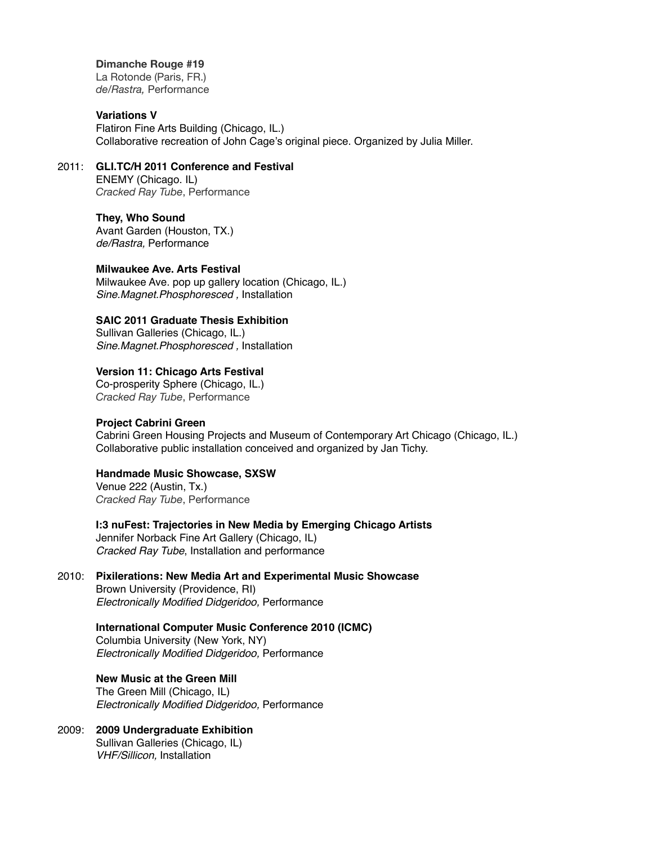#### **Dimanche Rouge #19**

La Rotonde (Paris, FR.) *de/Rastra,* Performance

## **Variations V**

Flatiron Fine Arts Building (Chicago, IL.) Collaborative recreation of John Cage's original piece. Organized by Julia Miller.

## 2011: **GLI.TC/H 2011 Conference and Festival**

ENEMY (Chicago. IL) *Cracked Ray Tube*, Performance

## **They, Who Sound**

Avant Garden (Houston, TX.) *de/Rastra,* Performance

#### **Milwaukee Ave. Arts Festival**

Milwaukee Ave. pop up gallery location (Chicago, IL.) *Sine.Magnet.Phosphoresced ,* Installation

## **SAIC 2011 Graduate Thesis Exhibition**

Sullivan Galleries (Chicago, IL.) *Sine.Magnet.Phosphoresced ,* Installation

## **Version 11: Chicago Arts Festival**

Co-prosperity Sphere (Chicago, IL.) *Cracked Ray Tube*, Performance

#### **Project Cabrini Green**

Cabrini Green Housing Projects and Museum of Contemporary Art Chicago (Chicago, IL.) Collaborative public installation conceived and organized by Jan Tichy.

#### **Handmade Music Showcase, SXSW**

Venue 222 (Austin, Tx.) *Cracked Ray Tube*, Performance

**I:3 nuFest: Trajectories in New Media by Emerging Chicago Artists** Jennifer Norback Fine Art Gallery (Chicago, IL) *Cracked Ray Tube*, Installation and performance

## 2010: **Pixilerations: New Media Art and Experimental Music Showcase**

Brown University (Providence, RI) *Electronically Modified Didgeridoo,* Performance

#### **International Computer Music Conference 2010 (ICMC)**

Columbia University (New York, NY) *Electronically Modified Didgeridoo,* Performance

#### **New Music at the Green Mill**

The Green Mill (Chicago, IL) *Electronically Modified Didgeridoo,* Performance

#### 2009: **2009 Undergraduate Exhibition** Sullivan Galleries (Chicago, IL) *VHF/Sillicon,* Installation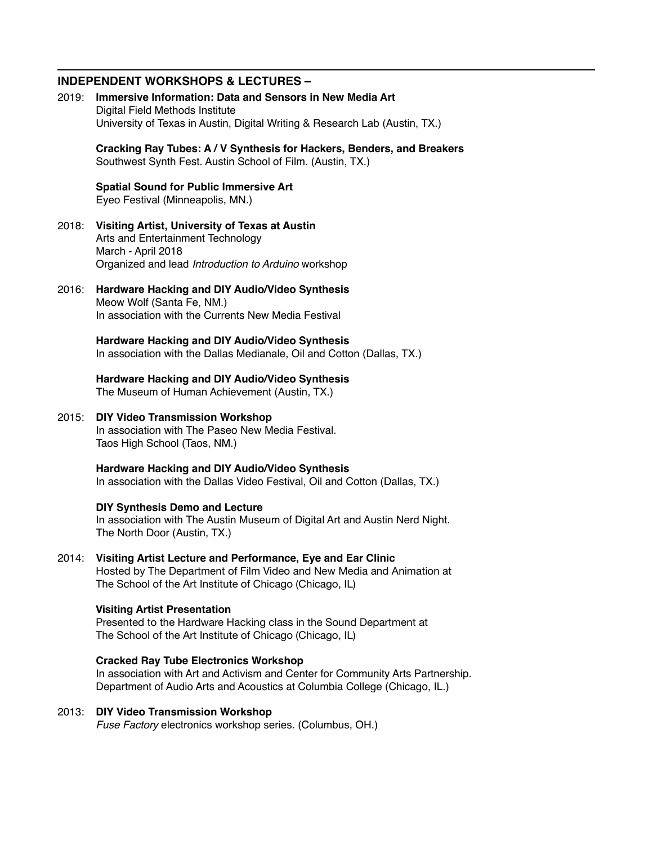#### **INDEPENDENT WORKSHOPS & LECTURES –**

- 2019: **Immersive Information: Data and Sensors in New Media Art** Digital Field Methods Institute University of Texas in Austin, Digital Writing & Research Lab (Austin, TX.) **Cracking Ray Tubes: A / V Synthesis for Hackers, Benders, and Breakers** Southwest Synth Fest. Austin School of Film. (Austin, TX.) **Spatial Sound for Public Immersive Art** Eyeo Festival (Minneapolis, MN.) 2018: **Visiting Artist, University of Texas at Austin**  Arts and Entertainment Technology March - April 2018 Organized and lead *Introduction to Arduino* workshop 2016: **Hardware Hacking and DIY Audio/Video Synthesis** Meow Wolf (Santa Fe, NM.) In association with the Currents New Media Festival **Hardware Hacking and DIY Audio/Video Synthesis** In association with the Dallas Medianale, Oil and Cotton (Dallas, TX.) **Hardware Hacking and DIY Audio/Video Synthesis** The Museum of Human Achievement (Austin, TX.) 2015: **DIY Video Transmission Workshop** In association with The Paseo New Media Festival. Taos High School (Taos, NM.) **Hardware Hacking and DIY Audio/Video Synthesis** In association with the Dallas Video Festival, Oil and Cotton (Dallas, TX.) **DIY Synthesis Demo and Lecture** In association with The Austin Museum of Digital Art and Austin Nerd Night. The North Door (Austin, TX.) 2014: **Visiting Artist Lecture and Performance, Eye and Ear Clinic** Hosted by The Department of Film Video and New Media and Animation at The School of the Art Institute of Chicago (Chicago, IL) **Visiting Artist Presentation**  Presented to the Hardware Hacking class in the Sound Department at The School of the Art Institute of Chicago (Chicago, IL) **Cracked Ray Tube Electronics Workshop** In association with Art and Activism and Center for Community Arts Partnership. Department of Audio Arts and Acoustics at Columbia College (Chicago, IL.) 2013: **DIY Video Transmission Workshop**
	- *Fuse Factory* electronics workshop series. (Columbus, OH.)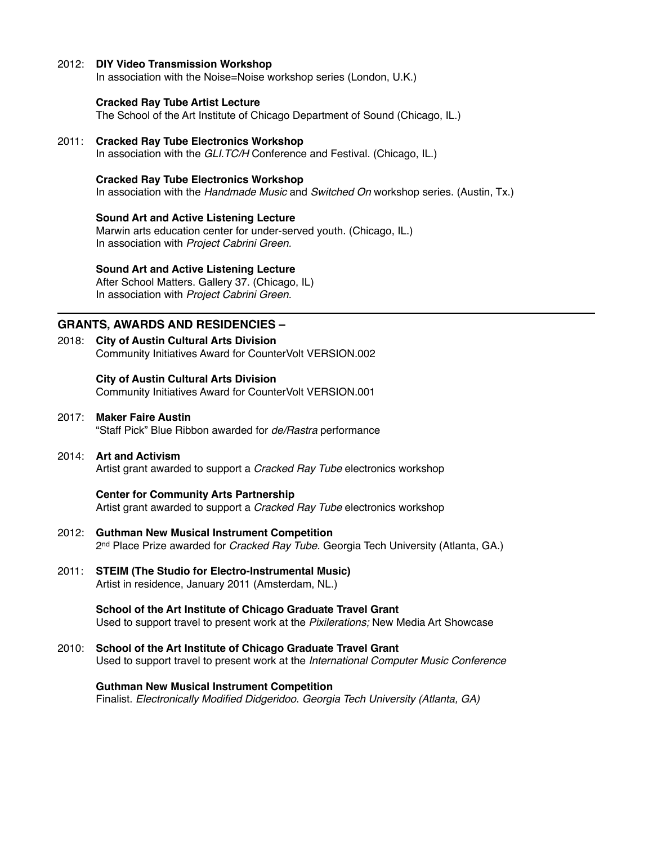#### 2012: **DIY Video Transmission Workshop**

In association with the Noise=Noise workshop series (London, U.K.)

#### **Cracked Ray Tube Artist Lecture**

The School of the Art Institute of Chicago Department of Sound (Chicago, IL.)

## 2011: **Cracked Ray Tube Electronics Workshop**

In association with the *GLI.TC/H* Conference and Festival. (Chicago, IL.)

#### **Cracked Ray Tube Electronics Workshop**

In association with the *Handmade Music* and *Switched On* workshop series. (Austin, Tx.)

#### **Sound Art and Active Listening Lecture**

Marwin arts education center for under-served youth. (Chicago, IL.) In association with *Project Cabrini Green.*

#### **Sound Art and Active Listening Lecture**

After School Matters. Gallery 37. (Chicago, IL) In association with *Project Cabrini Green.*

## **GRANTS, AWARDS AND RESIDENCIES –**

2018: **City of Austin Cultural Arts Division** Community Initiatives Award for CounterVolt VERSION.002

#### **City of Austin Cultural Arts Division**

Community Initiatives Award for CounterVolt VERSION.001

2017: **Maker Faire Austin** "Staff Pick" Blue Ribbon awarded for *de/Rastra* performance

#### 2014: **Art and Activism**

Artist grant awarded to support a *Cracked Ray Tube* electronics workshop

#### **Center for Community Arts Partnership**

Artist grant awarded to support a *Cracked Ray Tube* electronics workshop

- 2012: **Guthman New Musical Instrument Competition** 2nd Place Prize awarded for *Cracked Ray Tube.* Georgia Tech University (Atlanta, GA.)
- 2011: **STEIM (The Studio for Electro-Instrumental Music)** Artist in residence, January 2011 (Amsterdam, NL.)

**School of the Art Institute of Chicago Graduate Travel Grant** Used to support travel to present work at the *Pixilerations;* New Media Art Showcase

2010: **School of the Art Institute of Chicago Graduate Travel Grant** Used to support travel to present work at the *International Computer Music Conference*

**Guthman New Musical Instrument Competition** Finalist. *Electronically Modified Didgeridoo*. *Georgia Tech University (Atlanta, GA)*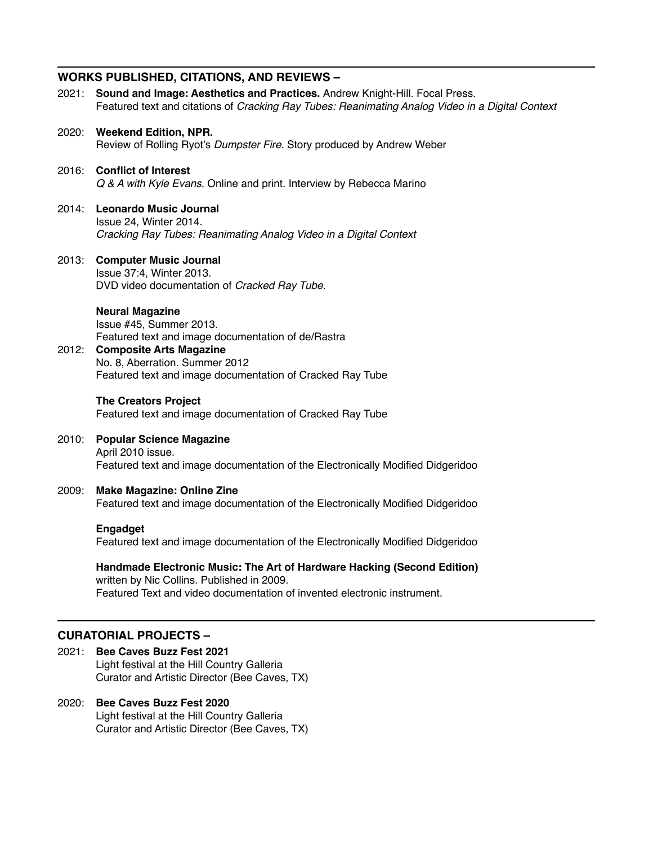## **WORKS PUBLISHED, CITATIONS, AND REVIEWS –**

|       | 2021: Sound and Image: Aesthetics and Practices. Andrew Knight-Hill. Focal Press.<br>Featured text and citations of Cracking Ray Tubes: Reanimating Analog Video in a Digital Context                                                    |
|-------|------------------------------------------------------------------------------------------------------------------------------------------------------------------------------------------------------------------------------------------|
|       | 2020: Weekend Edition, NPR.<br>Review of Rolling Ryot's Dumpster Fire. Story produced by Andrew Weber                                                                                                                                    |
| 2016: | <b>Conflict of Interest</b><br>Q & A with Kyle Evans. Online and print. Interview by Rebecca Marino                                                                                                                                      |
| 2014: | <b>Leonardo Music Journal</b><br>Issue 24, Winter 2014.<br>Cracking Ray Tubes: Reanimating Analog Video in a Digital Context                                                                                                             |
| 2013: | <b>Computer Music Journal</b><br>Issue 37:4, Winter 2013.<br>DVD video documentation of Cracked Ray Tube.                                                                                                                                |
| 2012: | <b>Neural Magazine</b><br>Issue #45, Summer 2013.<br>Featured text and image documentation of de/Rastra<br><b>Composite Arts Magazine</b><br>No. 8, Aberration. Summer 2012<br>Featured text and image documentation of Cracked Ray Tube |
|       | <b>The Creators Project</b><br>Featured text and image documentation of Cracked Ray Tube                                                                                                                                                 |
| 2010: | <b>Popular Science Magazine</b><br>April 2010 issue.<br>Featured text and image documentation of the Electronically Modified Didgeridoo                                                                                                  |
| 2009: | <b>Make Magazine: Online Zine</b><br>Featured text and image documentation of the Electronically Modified Didgeridoo                                                                                                                     |
|       | Engadget<br>Featured text and image documentation of the Electronically Modified Didgeridoo                                                                                                                                              |
|       | Handmade Electronic Music: The Art of Hardware Hacking (Second Edition)<br>written by Nic Collins. Published in 2009.<br>Featured Text and video documentation of invented electronic instrument.                                        |
|       |                                                                                                                                                                                                                                          |

## **CURATORIAL PROJECTS –**

2021: **Bee Caves Buzz Fest 2021** Light festival at the Hill Country Galleria Curator and Artistic Director (Bee Caves, TX)

## 2020: **Bee Caves Buzz Fest 2020** Light festival at the Hill Country Galleria Curator and Artistic Director (Bee Caves, TX)